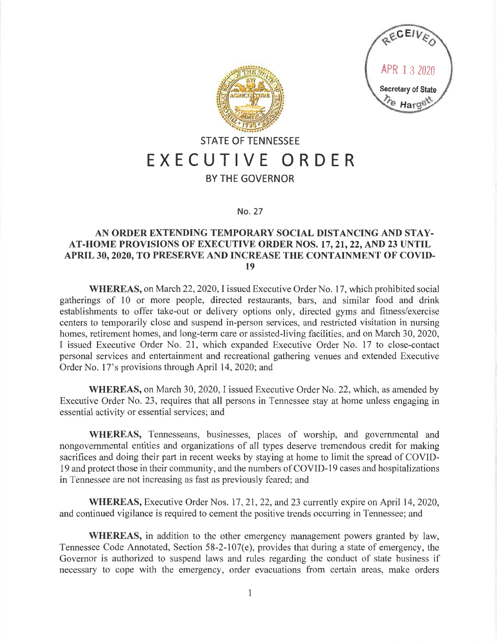



## **STATE OF TENNESSEE EXECUTIVE ORDER**

## **BY THE GOVERNOR**

## **No.** 27

## **AN ORDER EXTENDING TEMPORARY SOCIAL DISTANCING AND STAY-AT-HOME PROVISIONS OF EXECUTIVE ORDER NOS. 17, 21, 22, AND 23 UNTIL APRIL 30, 2020, TO PRESERVE AND INCREASE THE CONTAINMENT OF COVID-19**

**WHEREAS,** on March 22, 2020, I issued Executive Order No. 17, which prohibited social gatherings of 10 or more people, directed restaurants, bars, and similar food and drink establishments to offer take-out or delivery options only, directed gyms and fitness/exercise centers to temporarily close and suspend in-person services, and restricted visitation in nursing homes, retirement homes, and long-term care or assisted-living facilities, and on March 30, 2020, I issued Executive Order No. 21, which expanded Executive Order No. 17 to close-contact personal services and entertainment and recreational gathering venues and extended Executive Order No. 17's provisions through April 14, 2020; and

**WHEREAS,** on March 30, 2020, I issued Executive Order No. 22, which, as amended by Executive Order No. 23, requires that all persons in Tennessee stay at home unless engaging in essential activity or essential services; and

**WHEREAS,** Tennesseans, businesses, places of worship, and governmental and nongovernmental entities and organizations of all types deserve tremendous credit for making sacrifices and doing their part in recent weeks by staying at home to limit the spread of COVID-19 and protect those in their community, and the numbers of COVID-19 cases and hospitalizations in Tennessee are not increasing as fast as previously feared; and

**WHEREAS,** Executive Order Nos. 17, 21, 22, and 23 currently expire on April 14, 2020, and continued vigilance is required to cement the positive trends occurring in Tennessee; and

**WHEREAS,** in addition to the other emergency management powers granted by law, Tennessee Code Annotated, Section 58-2-107(e), provides that during a state of emergency, the Governor is authorized to suspend laws and rules regarding the conduct of state business if necessary to cope with the emergency, order evacuations from certain areas, make orders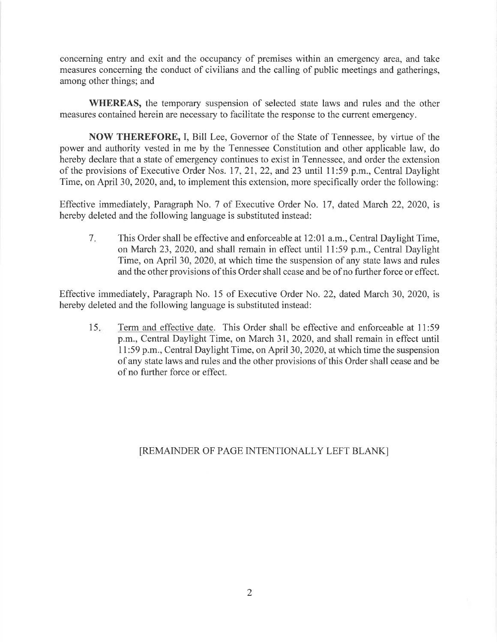concerning entry and exit and the occupancy of premises within an emergency area, and take measures concerning the conduct of civilians and the calling of public meetings and gatherings, among other things; and

**WHEREAS,** the temporary suspension of selected state laws and rules and the other measures contained herein are necessary to facilitate the response to the current emergency.

**NOW THEREFORE,** I, Bill Lee, Governor of the State of Tennessee, by virtue of the power and authority vested in me by the Tennessee Constitution and other applicable law, do hereby declare that a state of emergency continues to exist in Tennessee, and order the extension of the provisions of Executive Order Nos. 17, 21, 22, and 23 until 11 :59 p.m., Central Daylight Time, on April 30, 2020, and, to implement this extension, more specifically order the following:

Effective immediately, Paragraph No. 7 of Executive Order No. 17, dated March 22, 2020, is hereby deleted and the following language is substituted instead:

7. This Order shall be effective and enforceable at 12:01 a.m., Central Daylight Time, on March 23, 2020, and shall remain in effect until 11 :59 p.m., Central Daylight Time, on April 30, 2020, at which time the suspension of any state laws and rules and the other provisions of this Order shall cease and be of no further force or effect.

Effective immediately, Paragraph No. 15 of Executive Order No. 22, dated March 30, 2020, is hereby deleted and the following language is substituted instead:

15. Term and effective date. This Order shall be effective and enforceable at 11 :59 p.m., Central Daylight Time, on March 31, 2020, and shall remain in effect until 11 :59 p.m., Central Daylight Time, on April 30, 2020, at which time the suspension of any state laws and rules and the other provisions of this Order shall cease and be of no further force or effect.

[REMAINDER OF PAGE INTENTIONALLY LEFT BLANK]